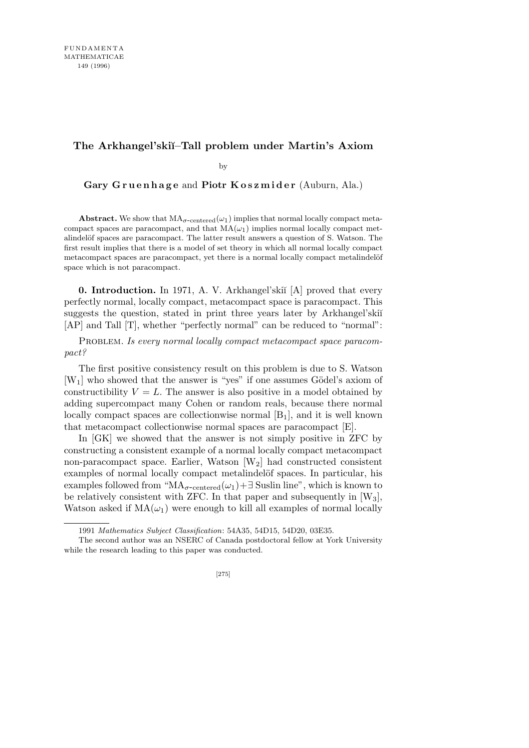## **The Arkhangel'ski˘ı–Tall problem under Martin's Axiom**

by

Gary Gruenhage and Piotr Koszmider (Auburn, Ala.)

**Abstract.** We show that  $MA_{\sigma\text{-centered}}(\omega_1)$  implies that normal locally compact metacompact spaces are paracompact, and that  $MA(\omega_1)$  implies normal locally compact metalindelöf spaces are paracompact. The latter result answers a question of S. Watson. The first result implies that there is a model of set theory in which all normal locally compact metacompact spaces are paracompact, yet there is a normal locally compact metalindelöf space which is not paracompact.

**0. Introduction.** In 1971, A. V. Arkhangel'skii [A] proved that every perfectly normal, locally compact, metacompact space is paracompact. This suggests the question, stated in print three years later by Arkhangel'skiı̆ [AP] and Tall [T], whether "perfectly normal" can be reduced to "normal":

PROBLEM. *Is every normal locally compact metacompact space paracompact?*

The first positive consistency result on this problem is due to S. Watson  $[W_1]$  who showed that the answer is "yes" if one assumes Gödel's axiom of constructibility  $V = L$ . The answer is also positive in a model obtained by adding supercompact many Cohen or random reals, because there normal locally compact spaces are collectionwise normal  $[B_1]$ , and it is well known that metacompact collectionwise normal spaces are paracompact [E].

In [GK] we showed that the answer is not simply positive in ZFC by constructing a consistent example of a normal locally compact metacompact non-paracompact space. Earlier, Watson [W2] had constructed consistent examples of normal locally compact metalindelöf spaces. In particular, his examples followed from " $MA_{\sigma\text{-centered}}(\omega_1)+\exists$  Suslin line", which is known to be relatively consistent with ZFC. In that paper and subsequently in  $[W_3]$ , Watson asked if  $MA(\omega_1)$  were enough to kill all examples of normal locally

<sup>1991</sup> *Mathematics Subject Classification*: 54A35, 54D15, 54D20, 03E35.

The second author was an NSERC of Canada postdoctoral fellow at York University while the research leading to this paper was conducted.

<sup>[275]</sup>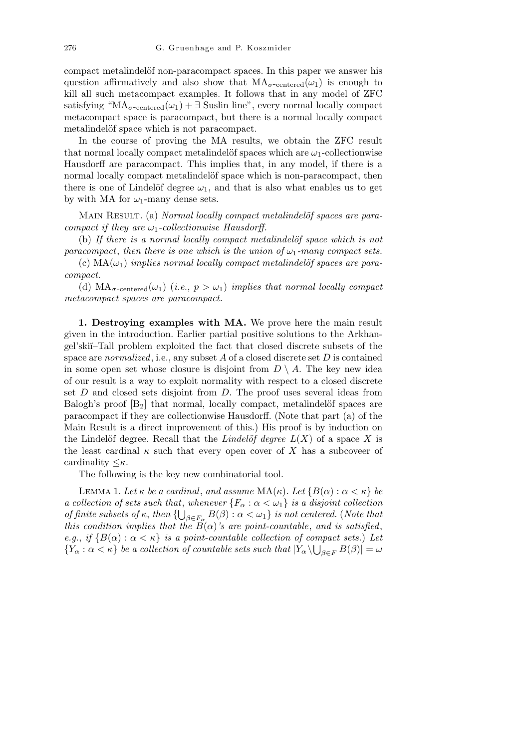compact metalindelöf non-paracompact spaces. In this paper we answer his question affirmatively and also show that  $MA_{\sigma\text{-centered}}(\omega_1)$  is enough to kill all such metacompact examples. It follows that in any model of ZFC satisfying " $MA_{\sigma\text{-centered}}(\omega_1) + \exists$  Suslin line", every normal locally compact metacompact space is paracompact, but there is a normal locally compact metalindelöf space which is not paracompact.

In the course of proving the MA results, we obtain the ZFC result that normal locally compact metalindelöf spaces which are  $\omega_1$ -collectionwise Hausdorff are paracompact. This implies that, in any model, if there is a normal locally compact metalindelöf space which is non-paracompact, then there is one of Lindelöf degree  $\omega_1$ , and that is also what enables us to get by with MA for  $\omega_1$ -many dense sets.

MAIN RESULT. (a) *Normal locally compact metalindelof spaces are paracompact if they are ω*1*-collectionwise Hausdorff.*

(b) If there is a normal locally compact metalindelof space which is not *paracompact*, *then there is one which is the union of*  $\omega_1$ *-many compact sets.* 

(c)  $MA(\omega_1)$  *implies normal locally compact metalindelof spaces are paracompact.*

(d)  $MA_{\sigma\text{-centered}}(\omega_1)$  (*i.e.*,  $p > \omega_1$ ) *implies that normal locally compact metacompact spaces are paracompact.*

**1. Destroying examples with MA.** We prove here the main result given in the introduction. Earlier partial positive solutions to the Arkhangel'ski˘ı–Tall problem exploited the fact that closed discrete subsets of the space are *normalized*, i.e., any subset *A* of a closed discrete set *D* is contained in some open set whose closure is disjoint from  $D \setminus A$ . The key new idea of our result is a way to exploit normality with respect to a closed discrete set *D* and closed sets disjoint from *D*. The proof uses several ideas from Balogh's proof  $[B_2]$  that normal, locally compact, metalindelöf spaces are paracompact if they are collectionwise Hausdorff. (Note that part (a) of the Main Result is a direct improvement of this.) His proof is by induction on the Lindelöf degree. Recall that the *Lindelöf degree*  $L(X)$  of a space X is the least cardinal  $\kappa$  such that every open cover of X has a subcoveer of cardinality *≤κ*.

The following is the key new combinatorial tool.

LEMMA 1. Let  $\kappa$  be a cardinal, and assume  $MA(\kappa)$ . Let  $\{B(\alpha): \alpha < \kappa\}$  be *a collection of sets such that, whenever*  ${F_\alpha : \alpha < \omega_1}$  *is a disjoint collection of finite subsets of*  $\kappa$ , *then*  $\{\bigcup_{\beta \in F_\alpha} B(\beta) : \alpha < \omega_1\}$  *is not centered.* (*Note that this condition implies that the*  $\overrightarrow{B}(\alpha)$ *'s are point-countable, and is satisfied, e.g.*, *if*  ${B(\alpha) : \alpha < \kappa}$  *is a point-countable collection of compact sets.*) Let  ${Y_\alpha : \alpha < \kappa}$  *be a collection of countable sets such that*  ${Y_\alpha \setminus \bigcup_{\beta \in F} B(\beta)} = \omega$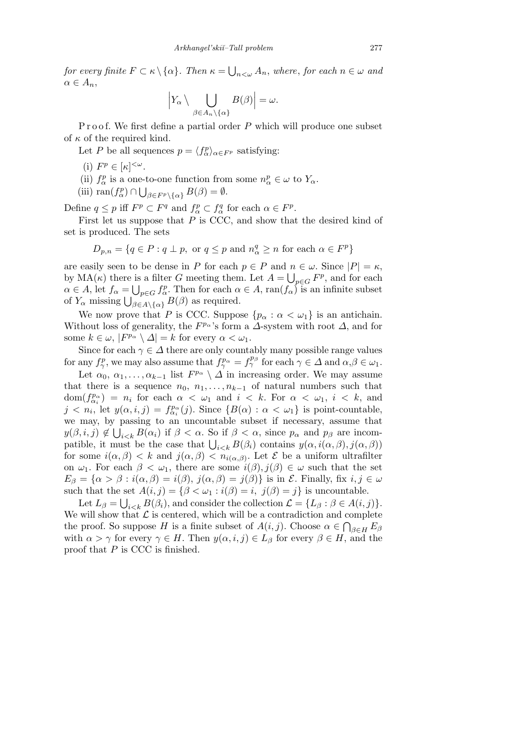*for every finite*  $F \subset \kappa \setminus {\alpha}$ *. Then*  $\kappa =$ S  $n < \omega$  *A*<sub>*n*</sub>, *where*, *for each*  $n \in \omega$  *and*  $\alpha \in A_n$ ,  $\overline{1}$  $\overline{1}$ 

$$
\left| Y_{\alpha} \setminus \bigcup_{\beta \in A_n \setminus \{\alpha\}} B(\beta) \right| = \omega.
$$

P r o o f. We first define a partial order P which will produce one subset of *κ* of the required kind.

Let *P* be all sequences  $p = \langle f_{\alpha}^p \rangle_{\alpha \in F^p}$  satisfying:

- (i)  $F^p \in [\kappa]^{<\omega}$ .
- (ii)  $f_{\alpha}^p$  is a one-to-one function from some  $n_{\alpha}^p \in \omega$  to  $Y_{\alpha}$ .
- $\text{(iii) } \text{ran}(f^p_\alpha) \cap \bigcup_{\beta \in F^p \setminus \{\alpha\}} B(\beta) = \emptyset.$

Define  $q \leq p$  iff  $F^p \subset F^q$  and  $f^p_\alpha \subset f^q_\alpha$  for each  $\alpha \in F^p$ .

First let us suppose that *P* is CCC, and show that the desired kind of set is produced. The sets

$$
D_{p,n} = \{ q \in P : q \perp p, \text{ or } q \le p \text{ and } n_{\alpha}^q \ge n \text{ for each } \alpha \in F^p \}
$$

are easily seen to be dense in *P* for each  $p \in P$  and  $n \in \omega$ . Since  $|P| = \kappa$ , by  $MA(\kappa)$  there is a filter *G* meeting them. Let  $A = \bigcup_{p \in G} F^p$ , and for each  $\alpha \in A$ , let  $f_{\alpha} = \bigcup_{p \in G} f_{\alpha}^p$ . Then for each  $\alpha \in A$ , ran $(f_{\alpha})$  is an infinite subset  $\alpha \in A$ , let  $J_{\alpha} = \bigcup_{p \in G} J_{\alpha}^{P}$ . Then for each  $\alpha$ <br>of  $Y_{\alpha}$  missing  $\bigcup_{\beta \in A \setminus {\{\alpha\}}} B(\beta)$  as required.

We now prove that *P* is CCC. Suppose  $\{p_{\alpha} : \alpha < \omega_1\}$  is an antichain. Without loss of generality, the  $F^{p_{\alpha}}$ 's form a  $\Delta$ -system with root  $\Delta$ , and for some  $k \in \omega$ ,  $|F^{p_\alpha} \setminus \Delta| = k$  for every  $\alpha < \omega_1$ .

Since for each  $\gamma \in \Delta$  there are only countably many possible range values for any  $f_{\gamma}^p$ , we may also assume that  $f_{\gamma}^{p_{\alpha}} = f_{\gamma}^{p_{\beta}}$  for each  $\gamma \in \Delta$  and  $\alpha, \beta \in \omega_1$ .

Let  $\alpha_0, \alpha_1, \ldots, \alpha_{k-1}$  list  $F^{p_\alpha} \setminus \Delta$  in increasing order. We may assume that there is a sequence  $n_0, n_1, \ldots, n_{k-1}$  of natural numbers such that  $dom(f_{\alpha_i}^{p_{\alpha}}) = n_i$  for each  $\alpha < \omega_1$  and  $i < k$ . For  $\alpha < \omega_1$ ,  $i < k$ , and  $j < n_i$ , let  $y(\alpha, i, j) = f_{\alpha_i}^{p_\alpha}(j)$ . Since  $\{B(\alpha) : \alpha < \omega_1\}$  is point-countable, we may, by passing to an uncountable subset if necessary, assume that  $y(\beta, i, j) \notin \bigcup_{i \leq k} B(\alpha_i)$  if  $\beta < \alpha$ . So if  $\beta < \alpha$ , since  $p_\alpha$  and  $p_\beta$  are incom $y(\beta, i, j) \notin \bigcup_{i \leq k} B(\alpha_i)$  if  $\beta \leq \alpha$ , so if  $\beta \leq \alpha$ , since  $p_\alpha$  and  $p_\beta$  are incompatible, it must be the case that  $\bigcup_{i \leq k} B(\beta_i)$  contains  $y(\alpha, i(\alpha, \beta), j(\alpha, \beta))$ for some  $i(\alpha, \beta) < k$  and  $j(\alpha, \beta) < n_{i(\alpha, \beta)}$ . Let  $\mathcal E$  be a uniform ultrafilter on  $\omega_1$ . For each  $\beta < \omega_1$ , there are some  $i(\beta), j(\beta) \in \omega$  such that the set  $E_{\beta} = {\alpha > \beta : i(\alpha, \beta) = i(\beta), j(\alpha, \beta) = j(\beta)}$  is in *E*. Finally, fix  $i, j \in \omega$ such that the set  $A(i, j) = \{\beta < \omega_1 : i(\beta) = i, j(\beta) = j\}$  is uncountable.

Let  $L_{\beta} = \bigcup_{i \leq k} B(\beta_i)$ , and consider the collection  $\mathcal{L} = \{L_{\beta} : \beta \in A(i, j)\}.$ We will show that  $\mathcal L$  is centered, which will be a contradiction and complete the proof. So suppose *H* is a finite subset of  $A(i, j)$ . Choose  $\alpha \in \bigcap_{\beta \in H} E_{\beta}$ with  $\alpha > \gamma$  for every  $\gamma \in H$ . Then  $y(\alpha, i, j) \in L_\beta$  for every  $\beta \in H$ , and the proof that *P* is CCC is finished.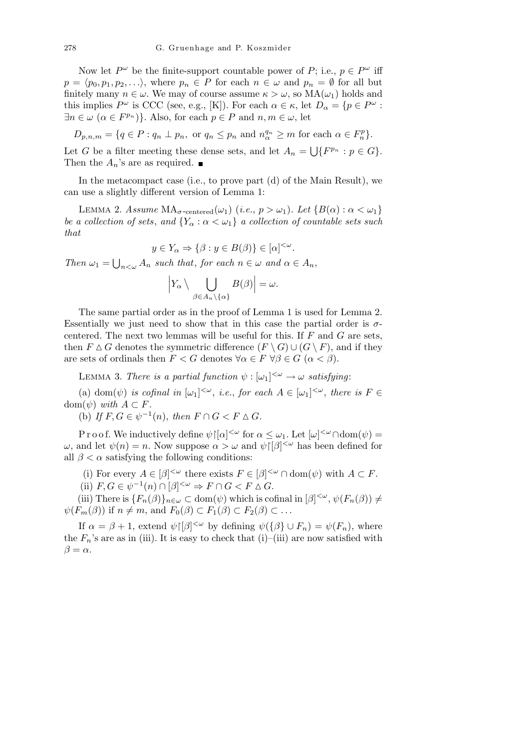Now let  $P^{\omega}$  be the finite-support countable power of *P*; i.e.,  $p \in P^{\omega}$  iff  $p = \langle p_0, p_1, p_2, \ldots \rangle$ , where  $p_n \in P$  for each  $n \in \omega$  and  $p_n = \emptyset$  for all but finitely many  $n \in \omega$ . We may of course assume  $\kappa > \omega$ , so  $MA(\omega_1)$  holds and this implies  $P^{\omega}$  is CCC (see, e.g., [K]). For each  $\alpha \in \kappa$ , let  $D_{\alpha} = \{p \in P^{\omega} :$  $∃n ∈ ω (α ∈ F<sup>p<sub>n</sub></sup>)$ }. Also, for each  $p ∈ P$  and  $n, m ∈ ω$ , let

 $D_{p,n,m} = \{q \in P : q_n \perp p_n, \text{ or } q_n \leq p_n \text{ and } n_{\alpha}^{q_n} \geq m \text{ for each } \alpha \in F_n^p\}.$ 

Let *G* be a filter meeting these dense sets, and let  $A_n =$ S  ${F^{p_n} : p \in G}.$ Then the  $A_n$ 's are as required.

In the metacompact case (i.e., to prove part (d) of the Main Result), we can use a slightly different version of Lemma 1:

LEMMA 2. *Assume*  $MA_{\sigma\text{-centered}}(\omega_1)$  (*i.e.*,  $p > \omega_1$ *). Let*  $\{B(\alpha) : \alpha < \omega_1\}$ *be a collection of sets, and*  ${Y_\alpha : \alpha < \omega_1}$  *a collection of countable sets such that*

$$
y \in Y_{\alpha} \Rightarrow \{\beta : y \in B(\beta)\} \in [\alpha]^{<\omega}.
$$

*Then*  $\omega_1$  = S  $n < \omega$  *A*<sup>n</sup> *such that, for each*  $n \in \omega$  *and*  $\alpha \in A_n$ ,

$$
\left| Y_{\alpha} \setminus \bigcup_{\beta \in A_n \setminus \{\alpha\}} B(\beta) \right| = \omega.
$$

The same partial order as in the proof of Lemma 1 is used for Lemma 2. Essentially we just need to show that in this case the partial order is *σ*centered. The next two lemmas will be useful for this. If *F* and *G* are sets, then  $F \Delta G$  denotes the symmetric difference  $(F \setminus G) \cup (G \setminus F)$ , and if they are sets of ordinals then  $F < G$  denotes  $\forall \alpha \in F$   $\forall \beta \in G$  ( $\alpha < \beta$ ).

LEMMA 3. *There is a partial function*  $\psi : [\omega_1]^{<\omega} \to \omega$  *satisfying*:

(a) dom( $\psi$ ) *is cofinal in*  $[\omega_1]^{<\omega}$ , *i.e.*, *for each*  $A \in [\omega_1]^{<\omega}$ , *there is*  $F \in$ dom $(\psi)$  *with*  $A \subset F$ .

(b) If  $F, G \in \psi^{-1}(n)$ , then  $F \cap G < F \triangle G$ .

P r o o f. We inductively define  $\psi$ <sup>[</sup>[ $\alpha$ ]<sup>< $\omega$ </sup> for  $\alpha \leq \omega_1$ . Let  $[\omega]^{<\omega} \cap \text{dom}(\psi) =$ *ω*, and let  $ψ(n) = n$ . Now suppose  $α > ω$  and  $ψ$  $[β] < ω$  has been defined for all  $\beta < \alpha$  satisfying the following conditions:

(i) For every  $A \in [\beta]^{<\omega}$  there exists  $F \in [\beta]^{<\omega} \cap \text{dom}(\psi)$  with  $A \subset F$ .

(ii)  $F, G \in \psi^{-1}(n) \cap [\beta]^{<\omega} \Rightarrow F \cap G < F \triangle G$ .

(iii) There is  ${F_n(\beta)}_{n \in \omega} \subset \text{dom}(\psi)$  which is cofinal in  $[\beta]^{<\omega}, \psi(F_n(\beta)) \neq$  $\psi(F_m(\beta))$  if  $n \neq m$ , and  $F_0(\beta) \subset F_1(\beta) \subset F_2(\beta) \subset \ldots$ 

If  $\alpha = \beta + 1$ , extend  $\psi\left[\beta\right]^{\leq\omega}$  by defining  $\psi\left(\{\beta\}\cup F_n\right) = \psi(F_n)$ , where the  $F_n$ 's are as in (iii). It is easy to check that (i)–(iii) are now satisfied with  $\beta = \alpha$ .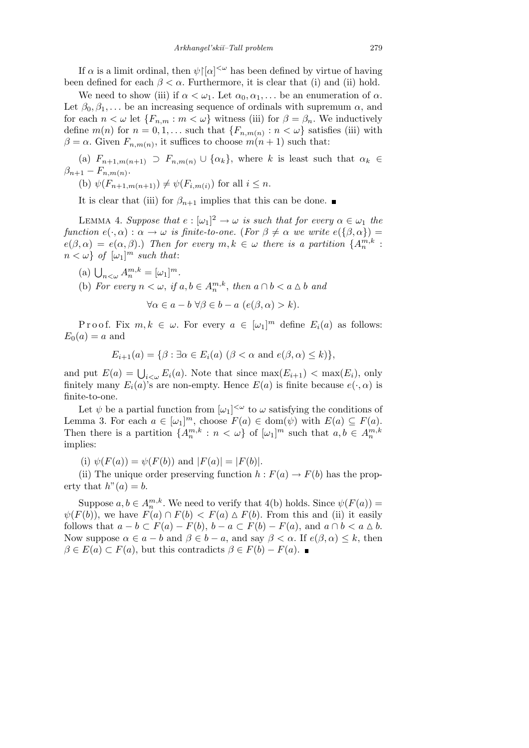If  $\alpha$  is a limit ordinal, then  $\psi$ <sup>[</sup> $\alpha$ ]<sup>< $\omega$ </sup> has been defined by virtue of having been defined for each  $\beta < \alpha$ . Furthermore, it is clear that (i) and (ii) hold.

We need to show (iii) if  $\alpha < \omega_1$ . Let  $\alpha_0, \alpha_1, \ldots$  be an enumeration of  $\alpha$ . Let  $\beta_0, \beta_1, \ldots$  be an increasing sequence of ordinals with supremum  $\alpha$ , and for each  $n < \omega$  let  ${F_{n,m} : m < \omega}$  witness (iii) for  $\beta = \beta_n$ . We inductively define  $m(n)$  for  $n = 0, 1, \ldots$  such that  $\{F_{n,m(n)} : n < \omega\}$  satisfies (iii) with  $\beta = \alpha$ . Given  $F_{n,m(n)}$ , it suffices to choose  $m(n+1)$  such that:

(a)  $F_{n+1,m(n+1)} \supset F_{n,m(n)} \cup \{\alpha_k\}$ , where *k* is least such that  $\alpha_k \in$  $\beta_{n+1} - F_{n,m(n)}$ 

 $\psi(F_{n+1,m(n+1)}) \neq \psi(F_{i,m(i)})$  for all  $i \leq n$ .

It is clear that (iii) for  $\beta_{n+1}$  implies that this can be done.

LEMMA 4. *Suppose that*  $e : [\omega_1]^2 \to \omega$  *is such that for every*  $\alpha \in \omega_1$  *the function*  $e(\cdot, \alpha) : \alpha \to \omega$  *is finite-to-one.* (*For*  $\beta \neq \alpha$  *we write*  $e(\{\beta, \alpha\}) =$  $e(\beta, \alpha) = e(\alpha, \beta)$ .) Then for every  $m, k \in \omega$  there is a partition  $\{A_n^{m,k}$ :  $n < \omega$ *} of*  $[\omega_1]^m$  *such that:* 

- (a)  $\bigcup_{n < \omega} A_n^{m,k} = [\omega_1]^m$ .
- (b) *For every*  $n < \omega$ , *if*  $a, b \in A_n^{m,k}$ , then  $a \cap b < a \Delta b$  and

$$
\forall \alpha \in a - b \,\,\forall \beta \in b - a \,\, (e(\beta, \alpha) > k).
$$

Proof. Fix  $m, k \in \omega$ . For every  $a \in [\omega_1]^m$  define  $E_i(a)$  as follows:  $E_0(a) = a$  and

$$
E_{i+1}(a) = \{ \beta : \exists \alpha \in E_i(a) \ (\beta < \alpha \ \text{and} \ e(\beta, \alpha) \le k) \},
$$

and put  $E(a) = \bigcup_{i < \omega} E_i(a)$ . Note that since  $\max(E_{i+1}) < \max(E_i)$ , only finitely many  $E_i(a)$ 's are non-empty. Hence  $E(a)$  is finite because  $e(\cdot, a)$  is finite-to-one.

Let  $\psi$  be a partial function from  $[\omega_1]^{<\omega}$  to  $\omega$  satisfying the conditions of Lemma 3. For each  $a \in [\omega_1]^m$ , choose  $F(a) \in \text{dom}(\psi)$  with  $E(a) \subseteq F(a)$ . Then there is a partition  ${A_n^{m,k} : n < \omega}$  of  $[\omega_1]^m$  such that  $a, b \in A_n^{m,k}$ implies:

 $(i)$   $\psi(F(a)) = \psi(F(b))$  and  $|F(a)| = |F(b)|$ .

(ii) The unique order preserving function  $h : F(a) \to F(b)$  has the property that  $h''(a) = b$ .

Suppose  $a, b \in A_n^{m,k}$ . We need to verify that 4(b) holds. Since  $\psi(F(a)) =$  $\psi(F(b))$ , we have  $F(a) \cap F(b) < F(a) \triangle F(b)$ . From this and (ii) it easily follows that  $a - b \subset F(a) - F(b)$ ,  $b - a \subset F(b) - F(a)$ , and  $a \cap b < a \triangle b$ . Now suppose  $\alpha \in a - b$  and  $\beta \in b - a$ , and say  $\beta < \alpha$ . If  $e(\beta, \alpha) \leq k$ , then  $\beta \in E(a) \subset F(a)$ , but this contradicts  $\beta \in F(b) - F(a)$ .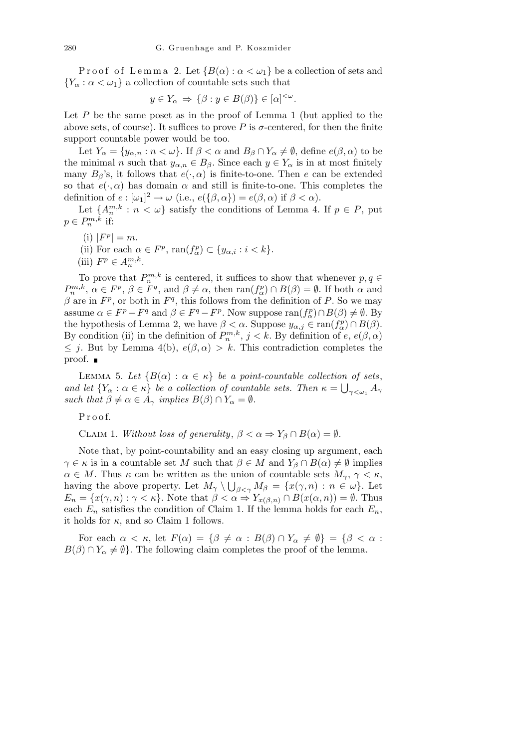Proof of Lemma 2. Let  ${B(\alpha) : \alpha < \omega_1}$  be a collection of sets and  ${Y_\alpha : \alpha < \omega_1}$  a collection of countable sets such that

$$
y \in Y_{\alpha} \implies \{ \beta : y \in B(\beta) \} \in [\alpha]^{<\omega}.
$$

Let *P* be the same poset as in the proof of Lemma 1 (but applied to the above sets, of course). It suffices to prove  $P$  is  $\sigma$ -centered, for then the finite support countable power would be too.

Let  $Y_\alpha = \{y_{\alpha,n} : n < \omega\}$ . If  $\beta < \alpha$  and  $B_\beta \cap Y_\alpha \neq \emptyset$ , define  $e(\beta, \alpha)$  to be the minimal *n* such that  $y_{\alpha,n} \in B_\beta$ . Since each  $y \in Y_\alpha$  is in at most finitely many  $B_\beta$ 's, it follows that  $e(\cdot, \alpha)$  is finite-to-one. Then *e* can be extended so that  $e(\cdot, \alpha)$  has domain  $\alpha$  and still is finite-to-one. This completes the definition of  $e : [\omega_1]^2 \to \omega$  (i.e.,  $e(\{\beta, \alpha\}) = e(\beta, \alpha)$  if  $\beta < \alpha$ ).

Let  ${A}^{m,k}_n : n < \omega$  satisfy the conditions of Lemma 4. If  $p \in P$ , put  $p \in P_n^{m,k}$  if:

- $|F^p| = m$ .
- (ii) For each  $\alpha \in F^p$ ,  $\text{ran}(f^p_\alpha) \subset \{y_{\alpha,i} : i < k\}.$
- (iii)  $F^p \in A_n^{m,k}$ .

To prove that  $P_n^{m,k}$  is centered, it suffices to show that whenever  $p, q \in$  $P_n^{m,k}, \alpha \in F^p, \beta \in F^q$ , and  $\beta \neq \alpha$ , then  $\text{ran}(f_{\alpha}^p) \cap B(\beta) = \emptyset$ . If both  $\alpha$  and  $β$  are in  $F<sup>p</sup>$ , or both in  $F<sup>q</sup>$ , this follows from the definition of *P*. So we may assume  $\alpha \in F^p - F^q$  and  $\beta \in F^q - F^p$ . Now suppose  $\text{ran}(f^p_\alpha) \cap B(\beta) \neq \emptyset$ . By the hypothesis of Lemma 2, we have  $\beta < \alpha$ . Suppose  $y_{\alpha,j} \in \text{ran}(f_{\alpha}^p) \cap B(\beta)$ . By condition (ii) in the definition of  $P_n^{m,k}$ ,  $j < k$ . By definition of  $e, e(\beta, \alpha)$ *≤ j*. But by Lemma 4(b), *e*(*β, α*) *> k*. This contradiction completes the proof. ■

LEMMA 5. Let  ${B(\alpha) : \alpha \in \kappa}$  be a point-countable collection of sets, *and let*  ${Y_\alpha : \alpha \in \kappa}$  *be a collection of countable sets. Then*  $\kappa = \bigcup_{\gamma < \omega_1} A_\gamma$ *such that*  $\beta \neq \alpha \in A_\gamma$  *implies*  $B(\beta) \cap Y_\alpha = \emptyset$ *.* 

P r o o f.

CLAIM 1. *Without loss of generality*,  $\beta < \alpha \Rightarrow Y_{\beta} \cap B(\alpha) = \emptyset$ .

Note that, by point-countability and an easy closing up argument, each *γ*  $\in$  *κ* is in a countable set *M* such that  $\beta \in M$  and  $Y_{\beta} \cap B(\alpha) \neq \emptyset$  implies  $\alpha \in M$ . Thus  $\kappa$  can be written as the union of countable sets  $M_{\gamma}$ ,  $\gamma < \kappa$ , having the above property. Let  $M_{\gamma} \setminus \bigcup_{\beta < \gamma} M_{\beta} = \{x(\gamma, n) : n \in \omega\}$ . Let  $E_n = \{x(\gamma, n) : \gamma < \kappa\}$ . Note that  $\beta < \alpha \Rightarrow Y_{x(\beta, n)} \cap B(x(\alpha, n)) = \emptyset$ . Thus each  $E_n$  satisfies the condition of Claim 1. If the lemma holds for each  $E_n$ , it holds for  $\kappa$ , and so Claim 1 follows.

For each  $\alpha < \kappa$ , let  $F(\alpha) = {\beta \neq \alpha : B(\beta) \cap Y_{\alpha} \neq \emptyset} = {\beta < \alpha : \beta \neq \alpha}$  $B(\beta) \cap Y_{\alpha} \neq \emptyset$ . The following claim completes the proof of the lemma.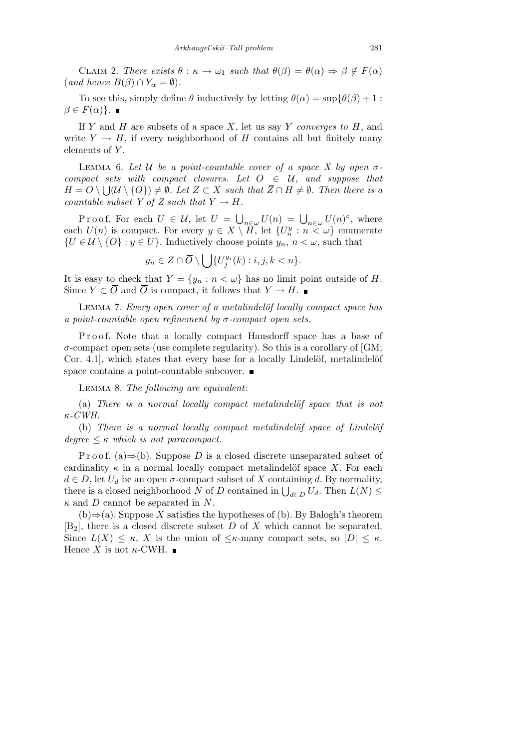CLAIM 2. *There exists*  $\theta : \kappa \to \omega_1$  *such that*  $\theta(\beta) = \theta(\alpha) \Rightarrow \beta \notin F(\alpha)$  $(\text{and hence } B(\beta) \cap Y_{\alpha} = \emptyset).$ 

To see this, simply define  $\theta$  inductively by letting  $\theta(\alpha) = \sup{\{\theta(\beta) + 1\}}$ :  $β ∈ F(α)$ }.  $\blacksquare$ 

If *Y* and *H* are subsets of a space *X*, let us say *Y converges to H*, and write  $Y \to H$ , if every neighborhood of *H* contains all but finitely many elements of *Y* .

LEMMA 6. Let U be a point-countable cover of a space X by open  $\sigma$ *compact sets with compact closures. Let*  $O \in U$ , and suppose that  $H = O \setminus \bigcup \{U \setminus \{O\}\}\neq \emptyset$ . Let  $Z \subset X$  such that  $\overline{Z} \cap H \neq \emptyset$ . Then there is a *countable subset Y of Z such that*  $Y \rightarrow H$ *.* 

Proof. For each  $U \in \mathcal{U}$ , let  $U =$  $\bigcup_{n \in \omega} U(n) = \bigcup_{n \in \omega} U(n)$ <sup>°</sup>, where each  $U(n)$  is compact. For every  $y \in X \setminus \overline{H}$ , let  $\{U_n^y : n \leq \omega\}$  enumerate  ${U \in U \setminus \{O\} : y \in U}$ . Inductively choose points  $y_n, n < \omega$ , such that  $\ddot{\phantom{1}}$ 

 $y_n \in Z \cap \overline{O} \setminus$  $\{U_j^{y_i}(k) : i, j, k < n\}.$ 

It is easy to check that  $Y = \{y_n : n < \omega\}$  has no limit point outside of *H*. Since  $Y \subset \overline{O}$  and  $\overline{O}$  is compact, it follows that  $Y \to H$ .

LEMMA 7. *Every open cover of a metalindelöf locally compact space has a point-countable open refinement by σ-compact open sets.*

P roof. Note that a locally compact Hausdorff space has a base of *σ*-compact open sets (use complete regularity). So this is a corollary of [GM; Cor. 4.1], which states that every base for a locally Lindelöf, metalindelöf space contains a point-countable subcover.  $\blacksquare$ 

Lemma 8. *The following are equivalent*:

(a) *There is a normal locally compact metalindelof space that is not κ-CWH.*

(b) *There is a normal locally compact metalindelof space of Lindelof*  $degree \leq \kappa$  *which is not paracompact.* 

P r o o f. (a) ⇒ (b). Suppose *D* is a closed discrete unseparated subset of cardinality  $\kappa$  in a normal locally compact metalindelöf space X. For each  $d \in D$ , let  $U_d$  be an open  $\sigma$ -compact subset of *X* containing *d*. By normality,  $a \in D$ , let  $U_d$  be an open *o*-compact subset of  $\Lambda$  containing  $a$ . By normality, there is a closed neighborhood  $N$  of  $D$  contained in  $\bigcup_{d \in D} U_d$ . Then  $L(N) \leq$ *κ* and *D* cannot be separated in *N*.

(b)*⇒*(a). Suppose *X* satisfies the hypotheses of (b). By Balogh's theorem [B2], there is a closed discrete subset *D* of *X* which cannot be separated. Since  $L(X) \leq \kappa$ , X is the union of  $\leq \kappa$ -many compact sets, so  $|D| \leq \kappa$ . Hence *X* is not  $\kappa$ -CWH.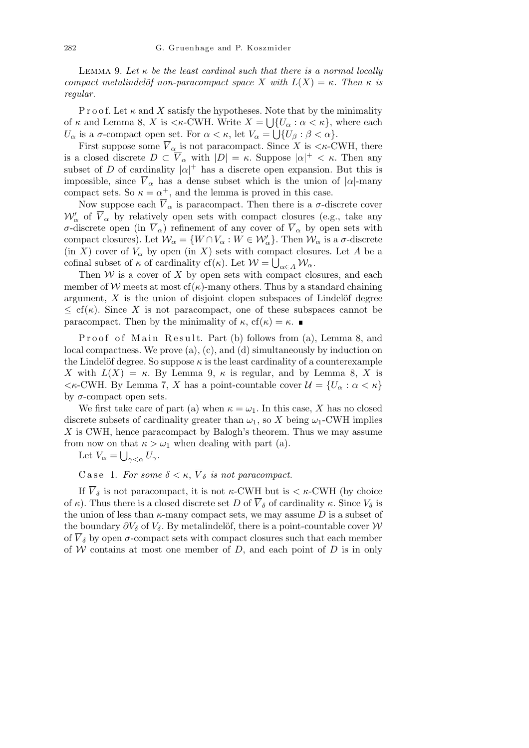LEMMA 9. Let  $\kappa$  be the least cardinal such that there is a normal locally *compact metalindelöf non-paracompact space X with*  $L(X) = \kappa$ *. Then*  $\kappa$  *is regular.*

P r o o f. Let  $\kappa$  and  $X$  satisfy the hypotheses. Note that by the minimality of  $\kappa$  and Lemma 8, *X* is  $\langle \kappa \text{-CWH} \rangle$ . Write  $X = \bigcup \{U_\alpha : \alpha < \kappa\}$ , where each *U*<sup>*α*</sup> is a *σ*-compact open set. For  $\alpha < \kappa$ , let  $V_{\alpha} = \bigcup \{ U_{\beta} : \beta < \alpha \}.$ 

First suppose some  $\overline{V}_{\alpha}$  is not paracompact. Since *X* is  $\langle \kappa$ -CWH, there is a closed discrete  $D \subset \overline{V}_{\alpha}$  with  $|D| = \kappa$ . Suppose  $|\alpha|^+ < \kappa$ . Then any subset of *D* of cardinality  $|\alpha|^+$  has a discrete open expansion. But this is impossible, since  $\overline{V}_{\alpha}$  has a dense subset which is the union of  $|\alpha|$ -many compact sets. So  $\kappa = \alpha^+$ , and the lemma is proved in this case.

Now suppose each  $\overline{V}_{\alpha}$  is paracompact. Then there is a  $\sigma$ -discrete cover  $W'_{\alpha}$  of  $\overline{V}_{\alpha}$  by relatively open sets with compact closures (e.g., take any *σ*-discrete open (in  $\overline{V}_{\alpha}$ ) refinement of any cover of  $\overline{V}_{\alpha}$  by open sets with compact closures). Let  $\mathcal{W}_{\alpha} = \{ W \cap V_{\alpha} : W \in \mathcal{W}'_{\alpha} \}$ . Then  $\mathcal{W}_{\alpha}$  is a  $\sigma$ -discrete  $(\text{in } X)$  cover of  $V_\alpha$  by open  $(\text{in } X)$  sets with compact closures. Let *A* be a cofinal subset of  $\kappa$  of cardinality cf( $\kappa$ ). Let  $\mathcal{W} = \bigcup_{\alpha \in A} \mathcal{W}_{\alpha}$ .

Then  $W$  is a cover of  $X$  by open sets with compact closures, and each member of *W* meets at most cf( $\kappa$ )-many others. Thus by a standard chaining argument,  $X$  is the union of disjoint clopen subspaces of Lindelöf degree  $\leq$  cf( $\kappa$ ). Since X is not paracompact, one of these subspaces cannot be paracompact. Then by the minimality of  $\kappa$ , cf( $\kappa$ ) =  $\kappa$ .

Proof of Main Result. Part (b) follows from (a), Lemma 8, and local compactness. We prove (a), (c), and (d) simultaneously by induction on the Lindelöf degree. So suppose  $\kappa$  is the least cardinality of a counterexample *X* with  $L(X) = \kappa$ . By Lemma 9,  $\kappa$  is regular, and by Lemma 8, *X* is  $\langle K\text{-}\text{CWH. By Lemma 7, } X \text{ has a point-countable cover } \mathcal{U} = \{U_\alpha : \alpha < \kappa\}$ by  $\sigma$ -compact open sets.

We first take care of part (a) when  $\kappa = \omega_1$ . In this case, X has no closed discrete subsets of cardinality greater than  $\omega_1$ , so X being  $\omega_1$ -CWH implies *X* is CWH, hence paracompact by Balogh's theorem. Thus we may assume from now on that  $\kappa > \omega_1$  when dealing with part (a).

Let 
$$
V_{\alpha} = \bigcup_{\gamma < \alpha} U_{\gamma}
$$
.

Case 1. For some  $\delta < \kappa$ ,  $\overline{V}_{\delta}$  is not paracompact.

If  $\overline{V}_{\delta}$  is not paracompact, it is not *κ*-CWH but is  $\lt$  *κ*-CWH (by choice of  $\kappa$ ). Thus there is a closed discrete set *D* of  $\overline{V}_{\delta}$  of cardinality  $\kappa$ . Since  $V_{\delta}$  is the union of less than  $\kappa$ -many compact sets, we may assume *D* is a subset of the boundary  $\partial V_{\delta}$  of  $V_{\delta}$ . By metalindelöf, there is a point-countable cover  $W$ of  $V_{\delta}$  by open  $\sigma$ -compact sets with compact closures such that each member of *W* contains at most one member of *D*, and each point of *D* is in only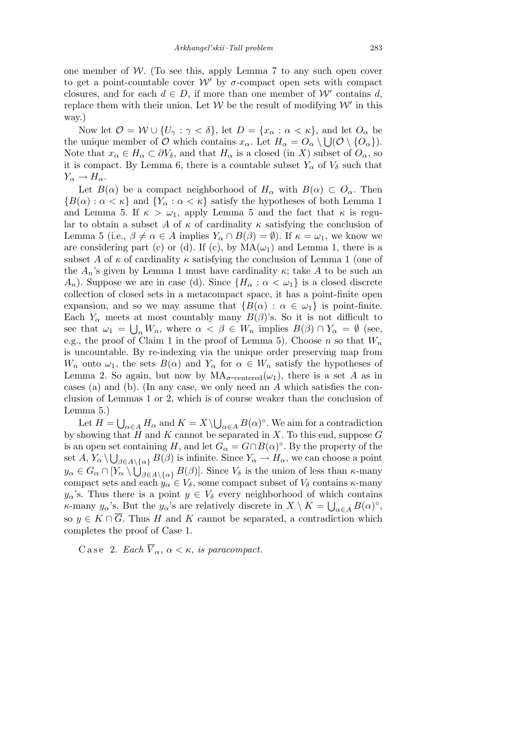one member of  $W$ . (To see this, apply Lemma 7 to any such open cover to get a point-countable cover  $W'$  by  $\sigma$ -compact open sets with compact closures, and for each  $d \in D$ , if more than one member of  $W'$  contains  $d$ , replace them with their union. Let  $W$  be the result of modifying  $W'$  in this way.)

Now let  $\mathcal{O} = \mathcal{W} \cup \{U_{\gamma} : \gamma < \delta\}$ , let  $D = \{x_{\alpha} : \alpha < \kappa\}$ , and let  $O_{\alpha}$  be the unique member of  $\mathcal{O}$  which contains  $x_{\alpha}$ . Let  $H_{\alpha} = O_{\alpha} \setminus \bigcup (\mathcal{O} \setminus \{O_{\alpha}\})$ . Note that  $x_{\alpha} \in H_{\alpha} \subset \partial V_{\delta}$ , and that  $H_{\alpha}$  is a closed (in *X*) subset of  $O_{\alpha}$ , so it is compact. By Lemma 6, there is a countable subset  $Y_\alpha$  of  $V_\delta$  such that  $Y_\alpha \to H_\alpha$ .

Let  $B(\alpha)$  be a compact neighborhood of  $H_{\alpha}$  with  $B(\alpha) \subset O_{\alpha}$ . Then  ${B(\alpha) : \alpha < \kappa}$  and  ${Y_\alpha : \alpha < \kappa}$  satisfy the hypotheses of both Lemma 1 and Lemma 5. If  $\kappa > \omega_1$ , apply Lemma 5 and the fact that  $\kappa$  is regular to obtain a subset A of  $\kappa$  of cardinality  $\kappa$  satisfying the conclusion of Lemma 5 (i.e.,  $\beta \neq \alpha \in A$  implies  $Y_{\alpha} \cap B(\beta) = \emptyset$ ). If  $\kappa = \omega_1$ , we know we are considering part (c) or (d). If (c), by  $MA(\omega_1)$  and Lemma 1, there is a subset *A* of *κ* of cardinality *κ* satisfying the conclusion of Lemma 1 (one of the  $A_n$ 's given by Lemma 1 must have cardinality  $\kappa$ ; take A to be such an *A<sub>n</sub>*). Suppose we are in case (d). Since  ${H_\alpha : \alpha < \omega_1}$  is a closed discrete collection of closed sets in a metacompact space, it has a point-finite open expansion, and so we may assume that  ${B(\alpha) : \alpha \in \omega_1}$  is point-finite. Each  $Y_\alpha$  meets at most countably many  $B(\beta)$ 's. So it is not difficult to see that  $\omega_1 = \bigcup_n W_n$ , where  $\alpha < \beta \in W_n$  implies  $B(\beta) \cap Y_\alpha = \emptyset$  (see, e.g., the proof of Claim 1 in the proof of Lemma 5). Choose  $n$  so that  $W_n$ is uncountable. By re-indexing via the unique order preserving map from *W<sub>n</sub>* onto  $\omega_1$ , the sets  $B(\alpha)$  and  $Y_\alpha$  for  $\alpha \in W_n$  satisfy the hypotheses of Lemma 2. So again, but now by  $MA_{\sigma\text{-centered}}(\omega_1)$ , there is a set *A* as in cases (a) and (b). (In any case, we only need an *A* which satisfies the conclusion of Lemmas 1 or 2, which is of course weaker than the conclusion of Lemma 5.) S S

Let  $H =$  $\alpha \in A$  *H*<sup>α</sup> and *K* = *X*<sup> $\setminus$ </sup>  $a \in A B(\alpha)^\circ$ . We aim for a contradiction by showing that *H* and *K* cannot be separated in *X*. To this end, suppose *G* is an open set containing *H*, and let  $G_{\alpha} = G \cap B(\alpha)^{\circ}$ . By the property of the set  $A, Y_\alpha \setminus \bigcup_{\beta \in A \setminus \{\alpha\}} B(\beta)$  is infinite. Since  $Y_\alpha \to H_\alpha$ , we can choose a point  $y_{\alpha} \in G_{\alpha} \cap [Y_{\alpha} \setminus \bigcup_{\beta \in A \setminus {\{\alpha\}}} B(\beta)].$  Since  $V_{\delta}$  is the union of less than *κ*-many compact sets and each  $y_\alpha \in V_\delta$ , some compact subset of  $V_\delta$  contains  $\kappa$ -many  $y_\alpha$ 's. Thus there is a point  $y \in V_\delta$  every neighborhood of which contains *κ*-many *y<sub>α</sub>*'s. But the *y<sub>α</sub>*'s are relatively discrete in  $X \setminus K = \bigcup_{\alpha \in A} B(\alpha)^{\circ}$ , so  $y \in K \cap \overline{G}$ . Thus *H* and *K* cannot be separated, a contradiction which completes the proof of Case 1.

C a se 2. *Each*  $\overline{V}_{\alpha}$ ,  $\alpha < \kappa$ , *is paracompact.*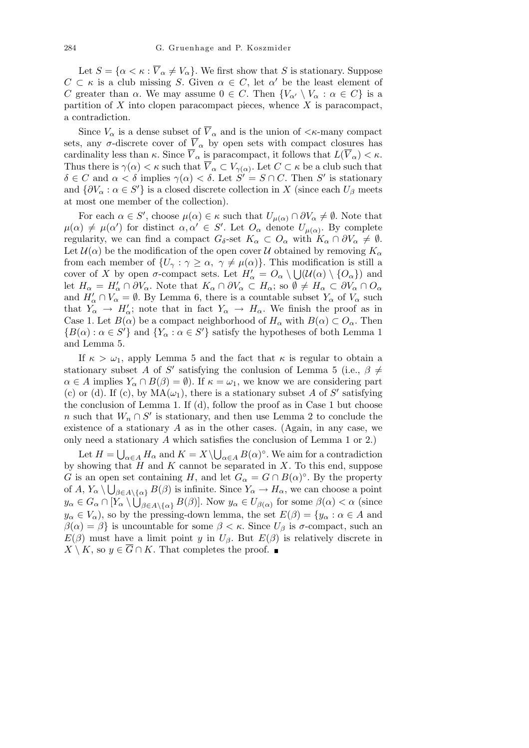Let  $S = \{ \alpha < \kappa : \overline{V}_{\alpha} \neq V_{\alpha} \}$ . We first show that *S* is stationary. Suppose  $C \subset \kappa$  is a club missing *S*. Given  $\alpha \in C$ , let  $\alpha'$  be the least element of *C* greater than *α*. We may assume  $0 \in C$ . Then  ${V_{\alpha'} \setminus V_{\alpha} : \alpha \in C}$  is a partition of *X* into clopen paracompact pieces, whence *X* is paracompact, a contradiction.

Since  $V_\alpha$  is a dense subset of  $\overline{V}_\alpha$  and is the union of  $\langle \kappa$ -many compact sets, any *σ*-discrete cover of  $\overline{V}_{\alpha}$  by open sets with compact closures has cardinality less than  $\kappa$ . Since  $\overline{V}_{\alpha}$  is paracompact, it follows that  $L(\overline{V}_{\alpha}) < \kappa$ . Thus there is  $\gamma(\alpha) < \kappa$  such that  $\overline{V}_{\alpha} \subset V_{\gamma(\alpha)}$ . Let  $C \subset \kappa$  be a club such that  $\delta \in C$  and  $\alpha < \delta$  implies  $\gamma(\alpha) < \delta$ . Let  $S' = S \cap C$ . Then S' is stationary and  $\{\partial V_{\alpha} : \alpha \in S'\}$  is a closed discrete collection in *X* (since each  $U_{\beta}$  meets at most one member of the collection).

For each  $\alpha \in S'$ , choose  $\mu(\alpha) \in \kappa$  such that  $U_{\mu(\alpha)} \cap \partial V_{\alpha} \neq \emptyset$ . Note that  $\mu(\alpha) \neq \mu(\alpha')$  for distinct  $\alpha, \alpha' \in S'$ . Let  $O_\alpha$  denote  $U_{\mu(\alpha)}$ . By complete regularity, we can find a compact  $G_{\delta}$ -set  $K_{\alpha} \subset O_{\alpha}$  with  $K_{\alpha} \cap \partial V_{\alpha} \neq \emptyset$ . Let  $\mathcal{U}(\alpha)$  be the modification of the open cover  $\mathcal{U}$  obtained by removing  $K_{\alpha}$ from each member of  $\{U_{\gamma} : \gamma \geq \alpha, \gamma \neq \mu(\alpha)\}\)$ . This modification is still a cover of *X* by open *σ*-compact sets. Let  $H'_{\alpha} = O_{\alpha} \setminus \bigcup (\mathcal{U}(\alpha) \setminus \{O_{\alpha}\})$  and let  $H_{\alpha} = H'_{\alpha} \cap \partial V_{\alpha}$ . Note that  $K_{\alpha} \cap \partial V_{\alpha} \subset H_{\alpha}$ ; so  $\emptyset \neq H_{\alpha} \subset \partial V_{\alpha} \cap O_{\alpha}$ and  $H'_{\alpha} \cap V_{\alpha} = \emptyset$ . By Lemma 6, there is a countable subset  $Y_{\alpha}$  of  $V_{\alpha}$  such that  $Y_\alpha \to H'_\alpha$ ; note that in fact  $Y_\alpha \to H_\alpha$ . We finish the proof as in Case 1. Let  $B(\alpha)$  be a compact neighborhood of  $H_{\alpha}$  with  $B(\alpha) \subset O_{\alpha}$ . Then  ${B(\alpha) : \alpha \in S'}$  and  ${Y_\alpha : \alpha \in S'}$  satisfy the hypotheses of both Lemma 1 and Lemma 5.

If  $\kappa > \omega_1$ , apply Lemma 5 and the fact that  $\kappa$  is regular to obtain a stationary subset *A* of *S*<sup>*'*</sup> satisfying the conlusion of Lemma 5 (i.e.,  $\beta \neq$  $\alpha \in A$  implies  $Y_\alpha \cap B(\beta) = \emptyset$ . If  $\kappa = \omega_1$ , we know we are considering part (c) or (d). If (c), by  $MA(\omega_1)$ , there is a stationary subset *A* of *S'* satisfying the conclusion of Lemma 1. If (d), follow the proof as in Case 1 but choose *n* such that  $W_n \cap S'$  is stationary, and then use Lemma 2 to conclude the existence of a stationary *A* as in the other cases. (Again, in any case, we only need a stationary *A* which satisfies the conclusion of Lemma 1 or 2.)  $\frac{30}{1}$  $\frac{1}{1}$ 

Let  $H =$  $\alpha \in A$  *H*<sup>α</sup> and *K* = *X*<sup> $\setminus$ </sup>  $a \in A B(\alpha)^\circ$ . We aim for a contradiction by showing that *H* and *K* cannot be separated in *X*. To this end, suppose *G* is an open set containing *H*, and let  $G_{\alpha} = G \cap B(\alpha)^{\circ}$ . By the property of *A*,  $Y_\alpha \setminus \bigcup_{\beta \in A \setminus \{\alpha\}} B(\beta)$  is infinite. Since  $Y_\alpha \to H_\alpha$ , we can choose a point  $y_{\alpha} \in G_{\alpha} \cap [Y_{\alpha} \setminus \bigcup_{\beta \in A \setminus \{\alpha\}} B(\beta)].$  Now  $y_{\alpha} \in U_{\beta(\alpha)}$  for some  $\beta(\alpha) < \alpha$  (since  $y_{\alpha} \in V_{\alpha}$ , so by the pressing-down lemma, the set  $E(\beta) = \{y_{\alpha} : \alpha \in A \text{ and }$  $\beta(\alpha) = \beta$ } is uncountable for some  $\beta < \kappa$ . Since  $U_{\beta}$  is *σ*-compact, such an *E*( $\beta$ ) must have a limit point *y* in *U*<sub> $\beta$ </sub>. But *E*( $\beta$ ) is relatively discrete in *X*  $\setminus$  *K*, so *y* ∈  $\overline{G}$  ∩ *K*. That completes the proof. ■